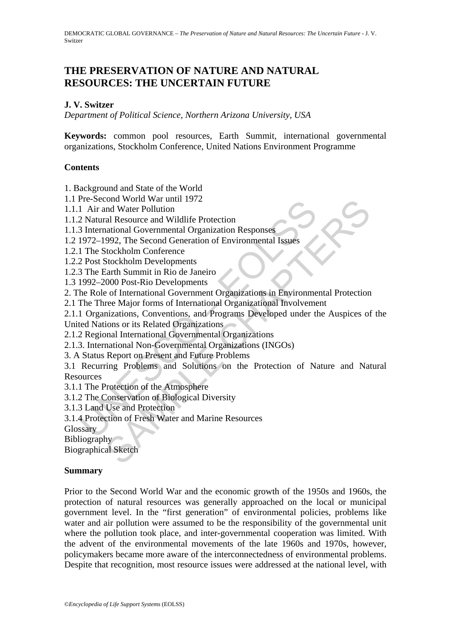# **THE PRESERVATION OF NATURE AND NATURAL RESOURCES: THE UNCERTAIN FUTURE**

### **J. V. Switzer**

*Department of Political Science, Northern Arizona University, USA* 

**Keywords:** common pool resources, Earth Summit, international governmental organizations, Stockholm Conference, United Nations Environment Programme

#### **Contents**

1. Background and State of the World

1.1 Pre-Second World War until 1972

1.1.1 Air and Water Pollution

- 1.1.2 Natural Resource and Wildlife Protection
- 1.1.3 International Governmental Organization Responses
- 1.2 1972–1992, The Second Generation of Environmental Issues
- 1.2.1 The Stockholm Conference
- 1.2.2 Post Stockholm Developments
- 1.2.3 The Earth Summit in Rio de Janeiro
- 1.3 1992–2000 Post-Rio Developments
- 2. The Role of International Government Organizations in Environmental Protection
- 2.1 The Three Major forms of International Organizational Involvement

2.1.1 Organizations, Conventions, and Programs Developed under the Auspices of the United Nations or its Related Organizations

- 2.1.2 Regional International Governmental Organizations
- 2.1.3. International Non-Governmental Organizations (INGOs)
- 3. A Status Report on Present and Future Problems

Fre-Second World War and Hill 1972<br>
1 Air and Water Pollution<br>
2 Natural Resource and Wildlife Protection<br>
3 International Governmental Organization Responses<br>
1972–1992, The Second Generation of Environmental Issues<br>
1 Th From World War until 1972<br>
and Water Pollution<br>
and Water Pollution<br>
and Mater Pollution<br>
and Scoremental Organization Responses<br>
592, The Second Generation of Environmental Issues<br>
stockholm Contenence<br>
Stockholm Developm 3.1 Recurring Problems and Solutions on the Protection of Nature and Natural Resources

3.1.1 The Protection of the Atmosphere

- 3.1.2 The Conservation of Biological Diversity
- 3.1.3 Land Use and Protection
- 3.1.4 Protection of Fresh Water and Marine Resources

Glossary

Bibliography

Biographical Sketch

#### **Summary**

Prior to the Second World War and the economic growth of the 1950s and 1960s, the protection of natural resources was generally approached on the local or municipal government level. In the "first generation" of environmental policies, problems like water and air pollution were assumed to be the responsibility of the governmental unit where the pollution took place, and inter-governmental cooperation was limited. With the advent of the environmental movements of the late 1960s and 1970s, however, policymakers became more aware of the interconnectedness of environmental problems. Despite that recognition, most resource issues were addressed at the national level, with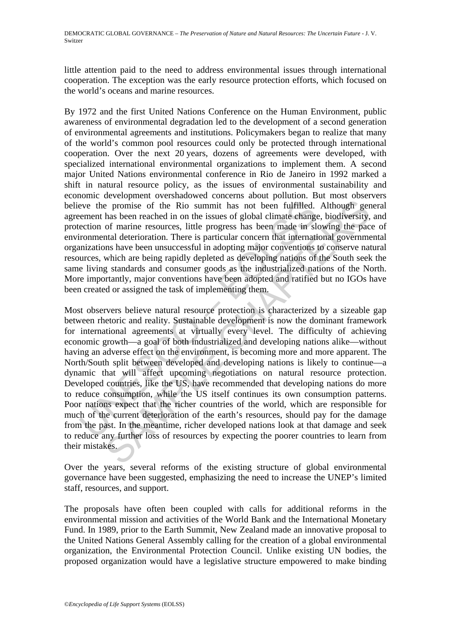little attention paid to the need to address environmental issues through international cooperation. The exception was the early resource protection efforts, which focused on the world's oceans and marine resources.

By 1972 and the first United Nations Conference on the Human Environment, public awareness of environmental degradation led to the development of a second generation of environmental agreements and institutions. Policymakers began to realize that many of the world's common pool resources could only be protected through international cooperation. Over the next 20 years, dozens of agreements were developed, with specialized international environmental organizations to implement them. A second major United Nations environmental conference in Rio de Janeiro in 1992 marked a shift in natural resource policy, as the issues of environmental sustainability and economic development overshadowed concerns about pollution. But most observers believe the promise of the Rio summit has not been fulfilled. Although general agreement has been reached in on the issues of global climate change, biodiversity, and protection of marine resources, little progress has been made in slowing the pace of environmental deterioration. There is particular concern that international governmental organizations have been unsuccessful in adopting major conventions to conserve natural resources, which are being rapidly depleted as developing nations of the South seek the same living standards and consumer goods as the industrialized nations of the North. More importantly, major conventions have been adopted and ratified but no IGOs have been created or assigned the task of implementing them.

eve the promise of the Rio summit has not been fulfilled.<br>
eenement has been reached in on the issues of global climate change<br>
ection of marine resources, little progress has been made in slict<br>
ironmental deterioration. is promise of the Rio summit has not been fulfilled. Although ger<br>has been reached in on the issues of global climate change, biodiversity,<br>of marine resources, little progress has been made in slowing the pace<br>traffical d Most observers believe natural resource protection is characterized by a sizeable gap between rhetoric and reality. Sustainable development is now the dominant framework for international agreements at virtually every level. The difficulty of achieving economic growth—a goal of both industrialized and developing nations alike—without having an adverse effect on the environment, is becoming more and more apparent. The North/South split between developed and developing nations is likely to continue—a dynamic that will affect upcoming negotiations on natural resource protection. Developed countries, like the US, have recommended that developing nations do more to reduce consumption, while the US itself continues its own consumption patterns. Poor nations expect that the richer countries of the world, which are responsible for much of the current deterioration of the earth's resources, should pay for the damage from the past. In the meantime, richer developed nations look at that damage and seek to reduce any further loss of resources by expecting the poorer countries to learn from their mistakes.

Over the years, several reforms of the existing structure of global environmental governance have been suggested, emphasizing the need to increase the UNEP's limited staff, resources, and support.

The proposals have often been coupled with calls for additional reforms in the environmental mission and activities of the World Bank and the International Monetary Fund. In 1989, prior to the Earth Summit, New Zealand made an innovative proposal to the United Nations General Assembly calling for the creation of a global environmental organization, the Environmental Protection Council. Unlike existing UN bodies, the proposed organization would have a legislative structure empowered to make binding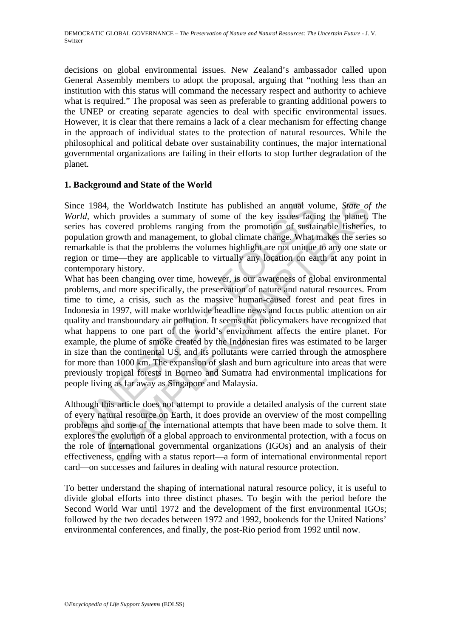decisions on global environmental issues. New Zealand's ambassador called upon General Assembly members to adopt the proposal, arguing that "nothing less than an institution with this status will command the necessary respect and authority to achieve what is required." The proposal was seen as preferable to granting additional powers to the UNEP or creating separate agencies to deal with specific environmental issues. However, it is clear that there remains a lack of a clear mechanism for effecting change in the approach of individual states to the protection of natural resources. While the philosophical and political debate over sustainability continues, the major international governmental organizations are failing in their efforts to stop further degradation of the planet.

#### **1. Background and State of the World**

Since 1984, the Worldwatch Institute has published an annual volume, *State of the World*, which provides a summary of some of the key issues facing the planet. The series has covered problems ranging from the promotion of sustainable fisheries, to population growth and management, to global climate change. What makes the series so remarkable is that the problems the volumes highlight are not unique to any one state or region or time—they are applicable to virtually any location on earth at any point in contemporary history.

ice 1984, the Worldwatch Institute has published an annual void, which provides a summary of some of the key issues facines has covered problems ranging from the promotion of sustailation growth and management, to global 4, the Worldwatch Institute has published an annual volume, *State of*<br>cich provides a summary of some of the key issues facing the planet,<br>covered problems ranging from the promotion of sustainable fisheries<br>growth and m What has been changing over time, however, is our awareness of global environmental problems, and more specifically, the preservation of nature and natural resources. From time to time, a crisis, such as the massive human-caused forest and peat fires in Indonesia in 1997, will make worldwide headline news and focus public attention on air quality and transboundary air pollution. It seems that policymakers have recognized that what happens to one part of the world's environment affects the entire planet. For example, the plume of smoke created by the Indonesian fires was estimated to be larger in size than the continental US, and its pollutants were carried through the atmosphere for more than 1000 km. The expansion of slash and burn agriculture into areas that were previously tropical forests in Borneo and Sumatra had environmental implications for people living as far away as Singapore and Malaysia.

Although this article does not attempt to provide a detailed analysis of the current state of every natural resource on Earth, it does provide an overview of the most compelling problems and some of the international attempts that have been made to solve them. It explores the evolution of a global approach to environmental protection, with a focus on the role of international governmental organizations (IGOs) and an analysis of their effectiveness, ending with a status report—a form of international environmental report card—on successes and failures in dealing with natural resource protection.

To better understand the shaping of international natural resource policy, it is useful to divide global efforts into three distinct phases. To begin with the period before the Second World War until 1972 and the development of the first environmental IGOs; followed by the two decades between 1972 and 1992, bookends for the United Nations' environmental conferences, and finally, the post-Rio period from 1992 until now.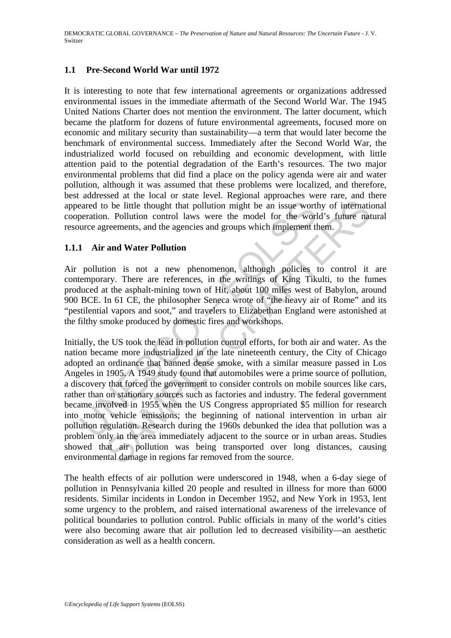#### **1.1 Pre-Second World War until 1972**

It is interesting to note that few international agreements or organizations addressed environmental issues in the immediate aftermath of the Second World War. The 1945 United Nations Charter does not mention the environment. The latter document, which became the platform for dozens of future environmental agreements, focused more on economic and military security than sustainability—a term that would later become the benchmark of environmental success. Immediately after the Second World War, the industrialized world focused on rebuilding and economic development, with little attention paid to the potential degradation of the Earth's resources. The two major environmental problems that did find a place on the policy agenda were air and water pollution, although it was assumed that these problems were localized, and therefore, best addressed at the local or state level. Regional approaches were rare, and there appeared to be little thought that pollution might be an issue worthy of international cooperation. Pollution control laws were the model for the world's future natural resource agreements, and the agencies and groups which implement them.

#### **1.1.1 Air and Water Pollution**

Air pollution is not a new phenomenon, although policies to control it are contemporary. There are references, in the writings of King Tikulti, to the fumes produced at the asphalt-mining town of Hit, about 100 miles west of Babylon, around 900 BCE. In 61 CE, the philosopher Seneca wrote of "the heavy air of Rome" and its "pestilential vapors and soot," and travelers to Elizabethan England were astonished at the filthy smoke produced by domestic fires and workshops.

eared to be little thought that pollution might be an issue worth<br>peration. Pollution control laws were the model for the worl<br>urce agreements, and the agencies and groups which implement the<br>1 **Air and Water Pollution**<br>po The bottom may be the measurement of the measurement of the measurements, and the agencies and groups which implement them.<br> **and Water Pollution** control laws were the model for the world's future nat<br> **and Water Pollutio** Initially, the US took the lead in pollution control efforts, for both air and water. As the nation became more industrialized in the late nineteenth century, the City of Chicago adopted an ordinance that banned dense smoke, with a similar measure passed in Los Angeles in 1905. A 1949 study found that automobiles were a prime source of pollution, a discovery that forced the government to consider controls on mobile sources like cars, rather than on stationary sources such as factories and industry. The federal government became involved in 1955 when the US Congress appropriated \$5 million for research into motor vehicle emissions; the beginning of national intervention in urban air pollution regulation. Research during the 1960s debunked the idea that pollution was a problem only in the area immediately adjacent to the source or in urban areas. Studies showed that air pollution was being transported over long distances, causing environmental damage in regions far removed from the source.

The health effects of air pollution were underscored in 1948, when a 6-day siege of pollution in Pennsylvania killed 20 people and resulted in illness for more than 6000 residents. Similar incidents in London in December 1952, and New York in 1953, lent some urgency to the problem, and raised international awareness of the irrelevance of political boundaries to pollution control. Public officials in many of the world's cities were also becoming aware that air pollution led to decreased visibility—an aesthetic consideration as well as a health concern.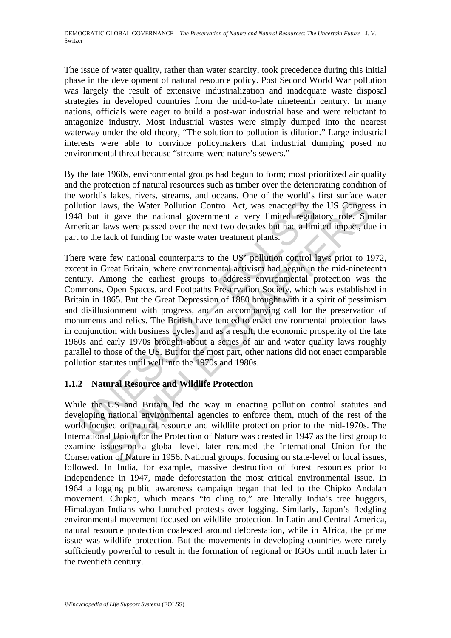The issue of water quality, rather than water scarcity, took precedence during this initial phase in the development of natural resource policy. Post Second World War pollution was largely the result of extensive industrialization and inadequate waste disposal strategies in developed countries from the mid-to-late nineteenth century. In many nations, officials were eager to build a post-war industrial base and were reluctant to antagonize industry. Most industrial wastes were simply dumped into the nearest waterway under the old theory, "The solution to pollution is dilution." Large industrial interests were able to convince policymakers that industrial dumping posed no environmental threat because "streams were nature's sewers."

By the late 1960s, environmental groups had begun to form; most prioritized air quality and the protection of natural resources such as timber over the deteriorating condition of the world's lakes, rivers, streams, and oceans. One of the world's first surface water pollution laws, the Water Pollution Control Act, was enacted by the US Congress in 1948 but it gave the national government a very limited regulatory role. Similar American laws were passed over the next two decades but had a limited impact, due in part to the lack of funding for waste water treatment plants.

ution laws, the Water Pollution Control Act, was enacted by th<br>8 but it gave the national government a very limited regularican laws were passed over the next two decades but had a lim<br>to the lack of funding for waste wate able was the Water Pollution Control Act, was enacted by the US Congressit gave the national government a very limited regulatory role. Since the national government a very limited regulatory role. Since the mats were pass There were few national counterparts to the US' pollution control laws prior to 1972, except in Great Britain, where environmental activism had begun in the mid-nineteenth century. Among the earliest groups to address environmental protection was the Commons, Open Spaces, and Footpaths Preservation Society, which was established in Britain in 1865. But the Great Depression of 1880 brought with it a spirit of pessimism and disillusionment with progress, and an accompanying call for the preservation of monuments and relics. The British have tended to enact environmental protection laws in conjunction with business cycles, and as a result, the economic prosperity of the late 1960s and early 1970s brought about a series of air and water quality laws roughly parallel to those of the US. But for the most part, other nations did not enact comparable pollution statutes until well into the 1970s and 1980s.

## **1.1.2 Natural Resource and Wildlife Protection**

While the US and Britain led the way in enacting pollution control statutes and developing national environmental agencies to enforce them, much of the rest of the world focused on natural resource and wildlife protection prior to the mid-1970s. The International Union for the Protection of Nature was created in 1947 as the first group to examine issues on a global level, later renamed the International Union for the Conservation of Nature in 1956. National groups, focusing on state-level or local issues, followed. In India, for example, massive destruction of forest resources prior to independence in 1947, made deforestation the most critical environmental issue. In 1964 a logging public awareness campaign began that led to the Chipko Andalan movement. Chipko, which means "to cling to," are literally India's tree huggers, Himalayan Indians who launched protests over logging. Similarly, Japan's fledgling environmental movement focused on wildlife protection. In Latin and Central America, natural resource protection coalesced around deforestation, while in Africa, the prime issue was wildlife protection. But the movements in developing countries were rarely sufficiently powerful to result in the formation of regional or IGOs until much later in the twentieth century.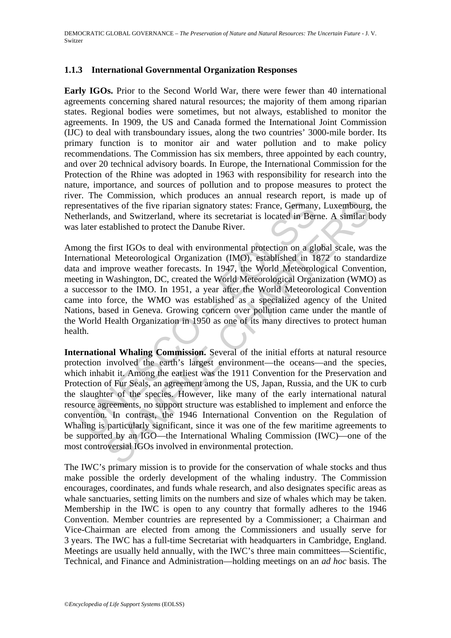## **1.1.3 International Governmental Organization Responses**

**Early IGOs.** Prior to the Second World War, there were fewer than 40 international agreements concerning shared natural resources; the majority of them among riparian states. Regional bodies were sometimes, but not always, established to monitor the agreements. In 1909, the US and Canada formed the International Joint Commission (IJC) to deal with transboundary issues, along the two countries' 3000-mile border. Its primary function is to monitor air and water pollution and to make policy recommendations. The Commission has six members, three appointed by each country, and over 20 technical advisory boards. In Europe, the International Commission for the Protection of the Rhine was adopted in 1963 with responsibility for research into the nature, importance, and sources of pollution and to propose measures to protect the river. The Commission, which produces an annual research report, is made up of representatives of the five riparian signatory states: France, Germany, Luxembourg, the Netherlands, and Switzerland, where its secretariat is located in Berne. A similar body was later established to protect the Danube River.

esentatives of the five riparian signatory states: France, Germany<br>herlands, and Switzerland, where its secretariat is located in Berl<br>ater established to protect the Danube River.<br>Ong the first IGOs to deal with environme Among the first IGOs to deal with environmental protection on a global scale, was the International Meteorological Organization (IMO), established in 1872 to standardize data and improve weather forecasts. In 1947, the World Meteorological Convention, meeting in Washington, DC, created the World Meteorological Organization (WMO) as a successor to the IMO. In 1951, a year after the World Meteorological Convention came into force, the WMO was established as a specialized agency of the United Nations, based in Geneva. Growing concern over pollution came under the mantle of the World Health Organization in 1950 as one of its many directives to protect human health.

ives of the five riparian signatory states: France, Germany, Luxembourg<br>s, and Switzerland, where its secretariat is located in Berne. A similar t<br>stablished to protect the Danube River.<br>first IGOs to deal with environment **International Whaling Commission.** Several of the initial efforts at natural resource protection involved the earth's largest environment—the oceans—and the species, which inhabit it. Among the earliest was the 1911 Convention for the Preservation and Protection of Fur Seals, an agreement among the US, Japan, Russia, and the UK to curb the slaughter of the species. However, like many of the early international natural resource agreements, no support structure was established to implement and enforce the convention. In contrast, the 1946 International Convention on the Regulation of Whaling is particularly significant, since it was one of the few maritime agreements to be supported by an IGO—the International Whaling Commission (IWC)—one of the most controversial IGOs involved in environmental protection.

The IWC's primary mission is to provide for the conservation of whale stocks and thus make possible the orderly development of the whaling industry. The Commission encourages, coordinates, and funds whale research, and also designates specific areas as whale sanctuaries, setting limits on the numbers and size of whales which may be taken. Membership in the IWC is open to any country that formally adheres to the 1946 Convention. Member countries are represented by a Commissioner; a Chairman and Vice-Chairman are elected from among the Commissioners and usually serve for 3 years. The IWC has a full-time Secretariat with headquarters in Cambridge, England. Meetings are usually held annually, with the IWC's three main committees—Scientific, Technical, and Finance and Administration—holding meetings on an *ad hoc* basis. The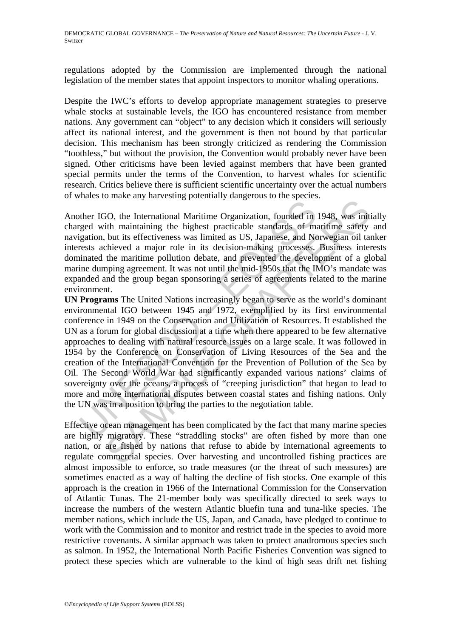regulations adopted by the Commission are implemented through the national legislation of the member states that appoint inspectors to monitor whaling operations.

Despite the IWC's efforts to develop appropriate management strategies to preserve whale stocks at sustainable levels, the IGO has encountered resistance from member nations. Any government can "object" to any decision which it considers will seriously affect its national interest, and the government is then not bound by that particular decision. This mechanism has been strongly criticized as rendering the Commission "toothless," but without the provision, the Convention would probably never have been signed. Other criticisms have been levied against members that have been granted special permits under the terms of the Convention, to harvest whales for scientific research. Critics believe there is sufficient scientific uncertainty over the actual numbers of whales to make any harvesting potentially dangerous to the species.

Another IGO, the International Maritime Organization, founded in 1948, was initially charged with maintaining the highest practicable standards of maritime safety and navigation, but its effectiveness was limited as US, Japanese, and Norwegian oil tanker interests achieved a major role in its decision-making processes. Business interests dominated the maritime pollution debate, and prevented the development of a global marine dumping agreement. It was not until the mid-1950s that the IMO's mandate was expanded and the group began sponsoring a series of agreements related to the marine environment.

of the IGO, the International Maritime Organization, founded in riged with maintaining the highest practicale standards of materies was limited as US, Japanese, and Net rest achieved a major role in its decision-making pro From the International Maritime Organization, founded in 1948, was intitly manitalining the highest practicable standards of maritime safety but its effectiveness was limited as US, Japanese, and Norwegian oil tachieved a **UN Programs** The United Nations increasingly began to serve as the world's dominant environmental IGO between 1945 and 1972, exemplified by its first environmental conference in 1949 on the Conservation and Utilization of Resources. It established the UN as a forum for global discussion at a time when there appeared to be few alternative approaches to dealing with natural resource issues on a large scale. It was followed in 1954 by the Conference on Conservation of Living Resources of the Sea and the creation of the International Convention for the Prevention of Pollution of the Sea by Oil. The Second World War had significantly expanded various nations' claims of sovereignty over the oceans, a process of "creeping jurisdiction" that began to lead to more and more international disputes between coastal states and fishing nations. Only the UN was in a position to bring the parties to the negotiation table.

Effective ocean management has been complicated by the fact that many marine species are highly migratory. These "straddling stocks" are often fished by more than one nation, or are fished by nations that refuse to abide by international agreements to regulate commercial species. Over harvesting and uncontrolled fishing practices are almost impossible to enforce, so trade measures (or the threat of such measures) are sometimes enacted as a way of halting the decline of fish stocks. One example of this approach is the creation in 1966 of the International Commission for the Conservation of Atlantic Tunas. The 21-member body was specifically directed to seek ways to increase the numbers of the western Atlantic bluefin tuna and tuna-like species. The member nations, which include the US, Japan, and Canada, have pledged to continue to work with the Commission and to monitor and restrict trade in the species to avoid more restrictive covenants. A similar approach was taken to protect anadromous species such as salmon. In 1952, the International North Pacific Fisheries Convention was signed to protect these species which are vulnerable to the kind of high seas drift net fishing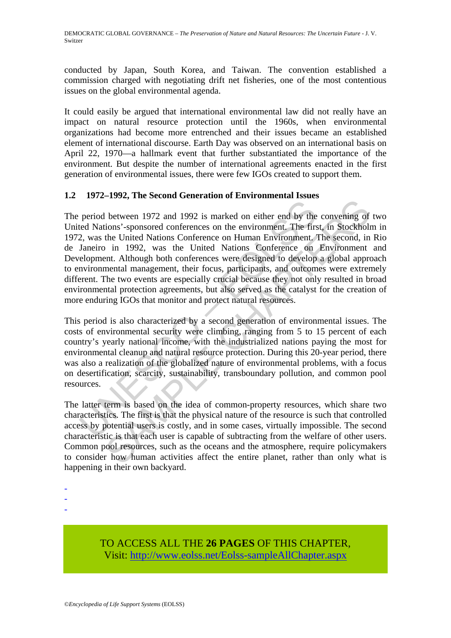conducted by Japan, South Korea, and Taiwan. The convention established a commission charged with negotiating drift net fisheries, one of the most contentious issues on the global environmental agenda.

It could easily be argued that international environmental law did not really have an impact on natural resource protection until the 1960s, when environmental organizations had become more entrenched and their issues became an established element of international discourse. Earth Day was observed on an international basis on April 22, 1970—a hallmark event that further substantiated the importance of the environment. But despite the number of international agreements enacted in the first generation of environmental issues, there were few IGOs created to support them.

## **1.2 1972–1992, The Second Generation of Environmental Issues**

period between 1972 and 1992 is marked on either end by the<br>ed Nations'-sponsored conferences on the environment. The first, was the United Nations Conference on Human Environment, Janeiro in 1992, was the United Nations C Example 1972 and 1992 is marked on either end by the convening of between 1972 and 1992 is marked on either end by the convening of the United Nations Conference on Henvironment. The first, in Stockholn the United Nations The period between 1972 and 1992 is marked on either end by the convening of two United Nations'-sponsored conferences on the environment. The first, in Stockholm in 1972, was the United Nations Conference on Human Environment. The second, in Rio de Janeiro in 1992, was the United Nations Conference on Environment and Development. Although both conferences were designed to develop a global approach to environmental management, their focus, participants, and outcomes were extremely different. The two events are especially crucial because they not only resulted in broad environmental protection agreements, but also served as the catalyst for the creation of more enduring IGOs that monitor and protect natural resources.

This period is also characterized by a second generation of environmental issues. The costs of environmental security were climbing, ranging from 5 to 15 percent of each country's yearly national income, with the industrialized nations paying the most for environmental cleanup and natural resource protection. During this 20-year period, there was also a realization of the globalized nature of environmental problems, with a focus on desertification, scarcity, sustainability, transboundary pollution, and common pool resources.

The latter term is based on the idea of common-property resources, which share two characteristics. The first is that the physical nature of the resource is such that controlled access by potential users is costly, and in some cases, virtually impossible. The second characteristic is that each user is capable of subtracting from the welfare of other users. Common pool resources, such as the oceans and the atmosphere, require policymakers to consider how human activities affect the entire planet, rather than only what is happening in their own backyard.

- -
- -

TO ACCESS ALL THE **26 PAGES** OF THIS CHAPTER, Visit: [http://www.eolss.net/Eolss-sampleAllChapter.aspx](https://www.eolss.net/ebooklib/sc_cart.aspx?File=E1-41-01-03)

<sup>-</sup>